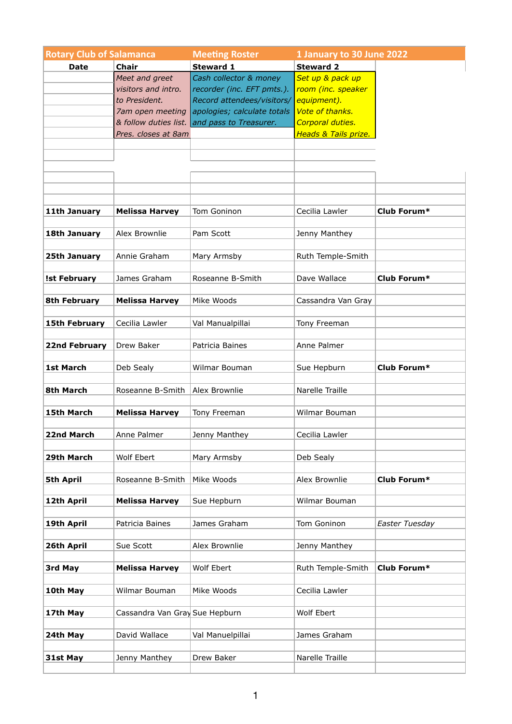| <b>Rotary Club of Salamanca</b> |                                | 1 January to 30 June 2022<br><b>Meeting Roster</b> |                      |                |
|---------------------------------|--------------------------------|----------------------------------------------------|----------------------|----------------|
| <b>Date</b>                     | <b>Chair</b>                   | <b>Steward 1</b>                                   | <b>Steward 2</b>     |                |
|                                 | Meet and greet                 | Cash collector & money                             | Set up & pack up     |                |
|                                 | visitors and intro.            | recorder (inc. EFT pmts.).                         | room (inc. speaker   |                |
|                                 | to President.                  | Record attendees/visitors/                         | equipment).          |                |
|                                 | 7am open meeting               | apologies; calculate totals                        | Vote of thanks.      |                |
|                                 |                                | & follow duties list. and pass to Treasurer.       | Corporal duties.     |                |
|                                 | Pres. closes at 8am            |                                                    | Heads & Tails prize. |                |
|                                 |                                |                                                    |                      |                |
|                                 |                                |                                                    |                      |                |
|                                 |                                |                                                    |                      |                |
|                                 |                                |                                                    |                      |                |
|                                 |                                |                                                    |                      |                |
| 11th January                    | <b>Melissa Harvey</b>          | Tom Goninon                                        | Cecilia Lawler       | Club Forum*    |
|                                 |                                |                                                    |                      |                |
| 18th January                    | Alex Brownlie                  | Pam Scott                                          | Jenny Manthey        |                |
|                                 |                                |                                                    |                      |                |
| 25th January                    | Annie Graham                   | Mary Armsby                                        | Ruth Temple-Smith    |                |
|                                 |                                |                                                    |                      |                |
| <b>Ist February</b>             | James Graham                   | Roseanne B-Smith                                   | Dave Wallace         | Club Forum*    |
|                                 |                                |                                                    |                      |                |
| <b>8th February</b>             | <b>Melissa Harvey</b>          | Mike Woods                                         | Cassandra Van Gray   |                |
|                                 |                                |                                                    |                      |                |
| <b>15th February</b>            | Cecilia Lawler                 | Val Manualpillai                                   | Tony Freeman         |                |
| <b>22nd February</b>            | Drew Baker                     | Patricia Baines                                    | Anne Palmer          |                |
|                                 |                                |                                                    |                      |                |
| <b>1st March</b>                | Deb Sealy                      | Wilmar Bouman                                      | Sue Hepburn          | Club Forum*    |
|                                 |                                |                                                    |                      |                |
| 8th March                       | Roseanne B-Smith               | Alex Brownlie                                      | Narelle Traille      |                |
|                                 |                                |                                                    |                      |                |
| 15th March                      | <b>Melissa Harvey</b>          | Tony Freeman                                       | Wilmar Bouman        |                |
|                                 |                                |                                                    |                      |                |
| 22nd March                      | Anne Palmer                    | Jenny Manthey                                      | Cecilia Lawler       |                |
|                                 |                                |                                                    |                      |                |
| 29th March                      | Wolf Ebert                     | Mary Armsby                                        | Deb Sealy            |                |
| <b>5th April</b>                | Roseanne B-Smith               | Mike Woods                                         | Alex Brownlie        | Club Forum*    |
|                                 |                                |                                                    |                      |                |
| 12th April                      | <b>Melissa Harvey</b>          | Sue Hepburn                                        | Wilmar Bouman        |                |
|                                 |                                |                                                    |                      |                |
| 19th April                      | Patricia Baines                | James Graham                                       | Tom Goninon          | Easter Tuesday |
|                                 |                                |                                                    |                      |                |
| 26th April                      | Sue Scott                      | Alex Brownlie                                      | Jenny Manthey        |                |
|                                 |                                |                                                    |                      |                |
| 3rd May                         | <b>Melissa Harvey</b>          | Wolf Ebert                                         | Ruth Temple-Smith    | Club Forum*    |
| 10th May                        | Wilmar Bouman                  | Mike Woods                                         | Cecilia Lawler       |                |
|                                 |                                |                                                    |                      |                |
| 17th May                        | Cassandra Van Gray Sue Hepburn |                                                    | Wolf Ebert           |                |
|                                 |                                |                                                    |                      |                |
| 24th May                        | David Wallace                  | Val Manuelpillai                                   | James Graham         |                |
|                                 |                                |                                                    |                      |                |
| 31st May                        | Jenny Manthey                  | Drew Baker                                         | Narelle Traille      |                |
|                                 |                                |                                                    |                      |                |